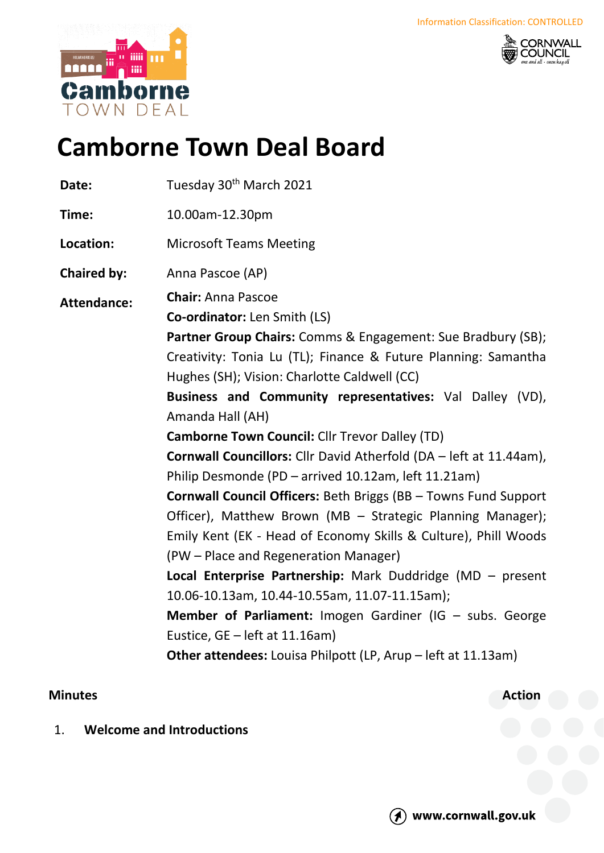



# **Camborne Town Deal Board**

| Date:              | Tuesday 30 <sup>th</sup> March 2021                                                                                                                                                                                                                                                                                                                                                                                                                                                                                                                                                                                                                                                                                                                                                                                                                                                                                                                                                                                                                         |
|--------------------|-------------------------------------------------------------------------------------------------------------------------------------------------------------------------------------------------------------------------------------------------------------------------------------------------------------------------------------------------------------------------------------------------------------------------------------------------------------------------------------------------------------------------------------------------------------------------------------------------------------------------------------------------------------------------------------------------------------------------------------------------------------------------------------------------------------------------------------------------------------------------------------------------------------------------------------------------------------------------------------------------------------------------------------------------------------|
| Time:              | 10.00am-12.30pm                                                                                                                                                                                                                                                                                                                                                                                                                                                                                                                                                                                                                                                                                                                                                                                                                                                                                                                                                                                                                                             |
| Location:          | <b>Microsoft Teams Meeting</b>                                                                                                                                                                                                                                                                                                                                                                                                                                                                                                                                                                                                                                                                                                                                                                                                                                                                                                                                                                                                                              |
| <b>Chaired by:</b> | Anna Pascoe (AP)                                                                                                                                                                                                                                                                                                                                                                                                                                                                                                                                                                                                                                                                                                                                                                                                                                                                                                                                                                                                                                            |
| <b>Attendance:</b> | <b>Chair: Anna Pascoe</b><br>Co-ordinator: Len Smith (LS)<br>Partner Group Chairs: Comms & Engagement: Sue Bradbury (SB);<br>Creativity: Tonia Lu (TL); Finance & Future Planning: Samantha<br>Hughes (SH); Vision: Charlotte Caldwell (CC)<br>Business and Community representatives: Val Dalley (VD),<br>Amanda Hall (AH)<br><b>Camborne Town Council: Cllr Trevor Dalley (TD)</b><br><b>Cornwall Councillors:</b> Cllr David Atherfold (DA - left at 11.44am),<br>Philip Desmonde (PD - arrived 10.12am, left 11.21am)<br><b>Cornwall Council Officers: Beth Briggs (BB - Towns Fund Support</b><br>Officer), Matthew Brown (MB - Strategic Planning Manager);<br>Emily Kent (EK - Head of Economy Skills & Culture), Phill Woods<br>(PW - Place and Regeneration Manager)<br>Local Enterprise Partnership: Mark Duddridge (MD - present<br>10.06-10.13am, 10.44-10.55am, 11.07-11.15am);<br>Member of Parliament: Imogen Gardiner (IG - subs. George<br>Eustice, GE - left at 11.16am)<br>Other attendees: Louisa Philpott (LP, Arup - left at 11.13am) |
|                    |                                                                                                                                                                                                                                                                                                                                                                                                                                                                                                                                                                                                                                                                                                                                                                                                                                                                                                                                                                                                                                                             |

## **Minutes Action**

1. **Welcome and Introductions**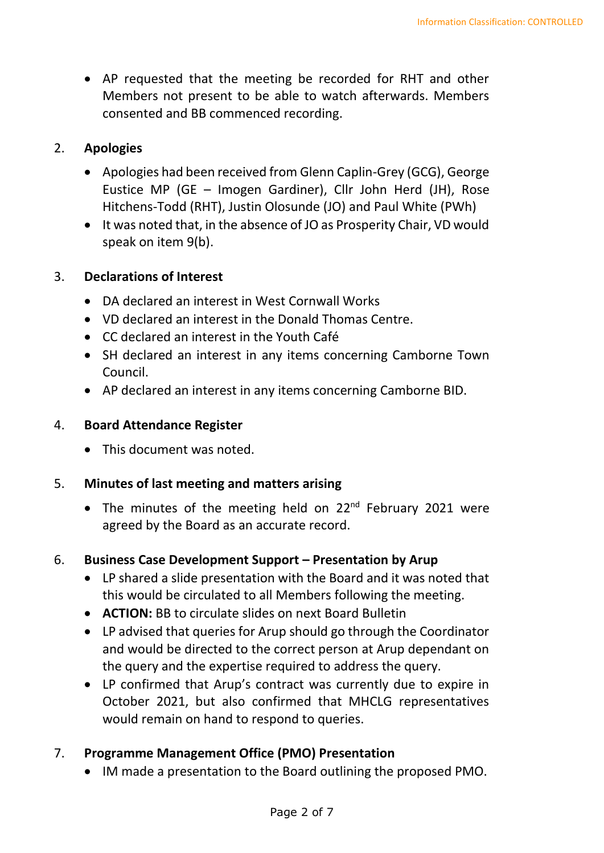• AP requested that the meeting be recorded for RHT and other Members not present to be able to watch afterwards. Members consented and BB commenced recording.

## 2. **Apologies**

- Apologies had been received from Glenn Caplin-Grey (GCG), George Eustice MP (GE – Imogen Gardiner), Cllr John Herd (JH), Rose Hitchens-Todd (RHT), Justin Olosunde (JO) and Paul White (PWh)
- It was noted that, in the absence of JO as Prosperity Chair, VD would speak on item 9(b).

## 3. **Declarations of Interest**

- DA declared an interest in West Cornwall Works
- VD declared an interest in the Donald Thomas Centre.
- CC declared an interest in the Youth Café
- SH declared an interest in any items concerning Camborne Town Council.
- AP declared an interest in any items concerning Camborne BID.

## 4. **Board Attendance Register**

• This document was noted.

## 5. **Minutes of last meeting and matters arising**

• The minutes of the meeting held on 22<sup>nd</sup> February 2021 were agreed by the Board as an accurate record.

## 6. **Business Case Development Support – Presentation by Arup**

- LP shared a slide presentation with the Board and it was noted that this would be circulated to all Members following the meeting.
- **ACTION:** BB to circulate slides on next Board Bulletin
- LP advised that queries for Arup should go through the Coordinator and would be directed to the correct person at Arup dependant on the query and the expertise required to address the query.
- LP confirmed that Arup's contract was currently due to expire in October 2021, but also confirmed that MHCLG representatives would remain on hand to respond to queries.

# 7. **Programme Management Office (PMO) Presentation**

• IM made a presentation to the Board outlining the proposed PMO.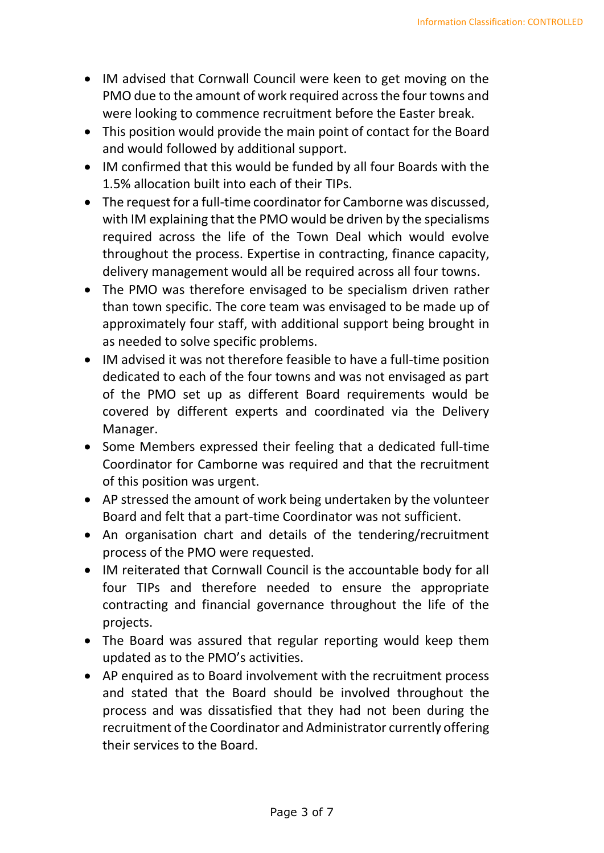- IM advised that Cornwall Council were keen to get moving on the PMO due to the amount of work required across the four towns and were looking to commence recruitment before the Easter break.
- This position would provide the main point of contact for the Board and would followed by additional support.
- IM confirmed that this would be funded by all four Boards with the 1.5% allocation built into each of their TIPs.
- The request for a full-time coordinator for Camborne was discussed, with IM explaining that the PMO would be driven by the specialisms required across the life of the Town Deal which would evolve throughout the process. Expertise in contracting, finance capacity, delivery management would all be required across all four towns.
- The PMO was therefore envisaged to be specialism driven rather than town specific. The core team was envisaged to be made up of approximately four staff, with additional support being brought in as needed to solve specific problems.
- IM advised it was not therefore feasible to have a full-time position dedicated to each of the four towns and was not envisaged as part of the PMO set up as different Board requirements would be covered by different experts and coordinated via the Delivery Manager.
- Some Members expressed their feeling that a dedicated full-time Coordinator for Camborne was required and that the recruitment of this position was urgent.
- AP stressed the amount of work being undertaken by the volunteer Board and felt that a part-time Coordinator was not sufficient.
- An organisation chart and details of the tendering/recruitment process of the PMO were requested.
- IM reiterated that Cornwall Council is the accountable body for all four TIPs and therefore needed to ensure the appropriate contracting and financial governance throughout the life of the projects.
- The Board was assured that regular reporting would keep them updated as to the PMO's activities.
- AP enquired as to Board involvement with the recruitment process and stated that the Board should be involved throughout the process and was dissatisfied that they had not been during the recruitment of the Coordinator and Administrator currently offering their services to the Board.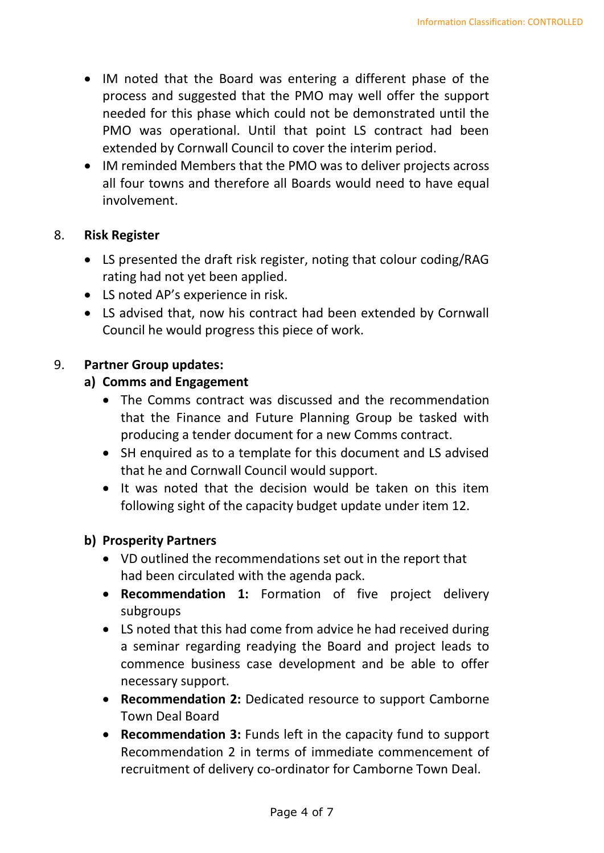- IM noted that the Board was entering a different phase of the process and suggested that the PMO may well offer the support needed for this phase which could not be demonstrated until the PMO was operational. Until that point LS contract had been extended by Cornwall Council to cover the interim period.
- IM reminded Members that the PMO was to deliver projects across all four towns and therefore all Boards would need to have equal involvement.

## 8. **Risk Register**

- LS presented the draft risk register, noting that colour coding/RAG rating had not yet been applied.
- LS noted AP's experience in risk.
- LS advised that, now his contract had been extended by Cornwall Council he would progress this piece of work.

## 9. **Partner Group updates:**

## **a) Comms and Engagement**

- The Comms contract was discussed and the recommendation that the Finance and Future Planning Group be tasked with producing a tender document for a new Comms contract.
- SH enquired as to a template for this document and LS advised that he and Cornwall Council would support.
- It was noted that the decision would be taken on this item following sight of the capacity budget update under item 12.

### **b) Prosperity Partners**

- VD outlined the recommendations set out in the report that had been circulated with the agenda pack.
- **Recommendation 1:** Formation of five project delivery subgroups
- LS noted that this had come from advice he had received during a seminar regarding readying the Board and project leads to commence business case development and be able to offer necessary support.
- **Recommendation 2:** Dedicated resource to support Camborne Town Deal Board
- **Recommendation 3:** Funds left in the capacity fund to support Recommendation 2 in terms of immediate commencement of recruitment of delivery co-ordinator for Camborne Town Deal.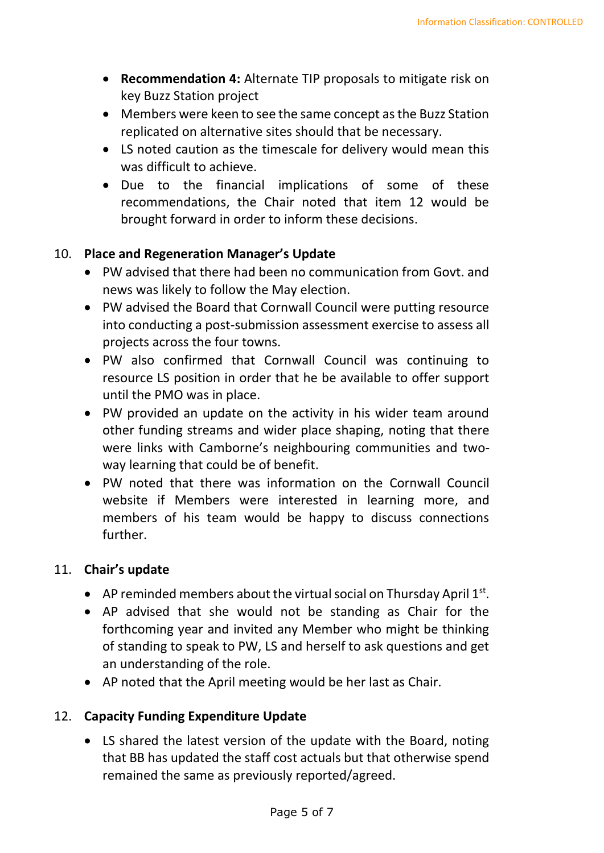- **Recommendation 4:** Alternate TIP proposals to mitigate risk on key Buzz Station project
- Members were keen to see the same concept as the Buzz Station replicated on alternative sites should that be necessary.
- LS noted caution as the timescale for delivery would mean this was difficult to achieve.
- Due to the financial implications of some of these recommendations, the Chair noted that item 12 would be brought forward in order to inform these decisions.

## 10. **Place and Regeneration Manager's Update**

- PW advised that there had been no communication from Govt. and news was likely to follow the May election.
- PW advised the Board that Cornwall Council were putting resource into conducting a post-submission assessment exercise to assess all projects across the four towns.
- PW also confirmed that Cornwall Council was continuing to resource LS position in order that he be available to offer support until the PMO was in place.
- PW provided an update on the activity in his wider team around other funding streams and wider place shaping, noting that there were links with Camborne's neighbouring communities and twoway learning that could be of benefit.
- PW noted that there was information on the Cornwall Council website if Members were interested in learning more, and members of his team would be happy to discuss connections further.

## 11. **Chair's update**

- AP reminded members about the virtual social on Thursday April  $1<sup>st</sup>$ .
- AP advised that she would not be standing as Chair for the forthcoming year and invited any Member who might be thinking of standing to speak to PW, LS and herself to ask questions and get an understanding of the role.
- AP noted that the April meeting would be her last as Chair.

## 12. **Capacity Funding Expenditure Update**

• LS shared the latest version of the update with the Board, noting that BB has updated the staff cost actuals but that otherwise spend remained the same as previously reported/agreed.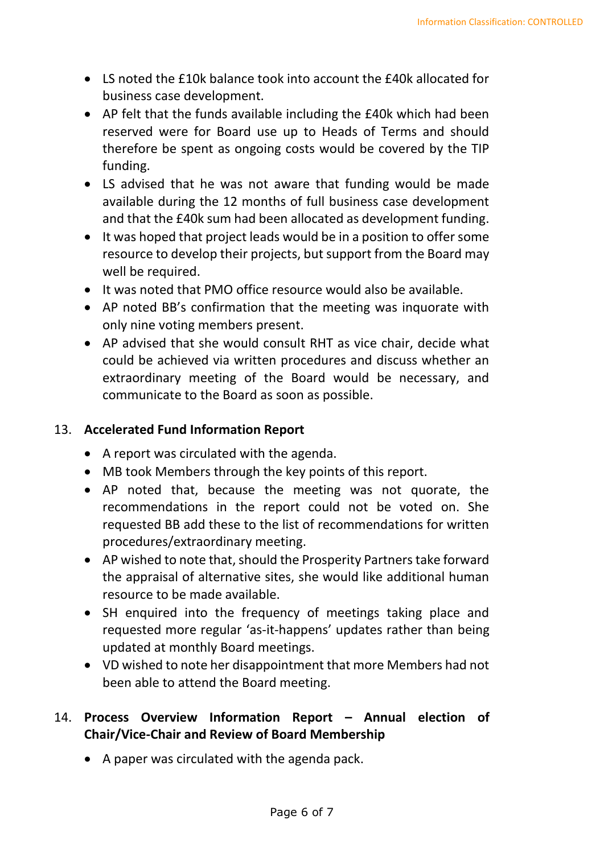- LS noted the £10k balance took into account the £40k allocated for business case development.
- AP felt that the funds available including the £40k which had been reserved were for Board use up to Heads of Terms and should therefore be spent as ongoing costs would be covered by the TIP funding.
- LS advised that he was not aware that funding would be made available during the 12 months of full business case development and that the £40k sum had been allocated as development funding.
- It was hoped that project leads would be in a position to offer some resource to develop their projects, but support from the Board may well be required.
- It was noted that PMO office resource would also be available.
- AP noted BB's confirmation that the meeting was inquorate with only nine voting members present.
- AP advised that she would consult RHT as vice chair, decide what could be achieved via written procedures and discuss whether an extraordinary meeting of the Board would be necessary, and communicate to the Board as soon as possible.

## 13. **Accelerated Fund Information Report**

- A report was circulated with the agenda.
- MB took Members through the key points of this report.
- AP noted that, because the meeting was not quorate, the recommendations in the report could not be voted on. She requested BB add these to the list of recommendations for written procedures/extraordinary meeting.
- AP wished to note that, should the Prosperity Partners take forward the appraisal of alternative sites, she would like additional human resource to be made available.
- SH enquired into the frequency of meetings taking place and requested more regular 'as-it-happens' updates rather than being updated at monthly Board meetings.
- VD wished to note her disappointment that more Members had not been able to attend the Board meeting.

# 14. **Process Overview Information Report – Annual election of Chair/Vice-Chair and Review of Board Membership**

• A paper was circulated with the agenda pack.